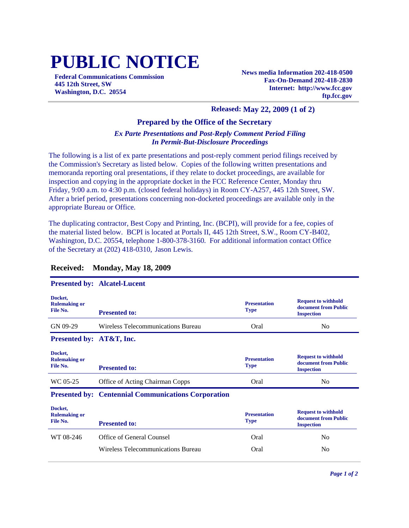# **PUBLIC NOTICE**

**Federal Communications Commission 445 12th Street, SW Washington, D.C. 20554**

**News media Information 202-418-0500 Fax-On-Demand 202-418-2830 Internet: http://www.fcc.gov ftp.fcc.gov**

#### **Released: May 22, 2009 (1 of 2)**

#### **Prepared by the Office of the Secretary**

#### *Ex Parte Presentations and Post-Reply Comment Period Filing In Permit-But-Disclosure Proceedings*

The following is a list of ex parte presentations and post-reply comment period filings received by the Commission's Secretary as listed below. Copies of the following written presentations and memoranda reporting oral presentations, if they relate to docket proceedings, are available for inspection and copying in the appropriate docket in the FCC Reference Center, Monday thru Friday, 9:00 a.m. to 4:30 p.m. (closed federal holidays) in Room CY-A257, 445 12th Street, SW. After a brief period, presentations concerning non-docketed proceedings are available only in the appropriate Bureau or Office.

The duplicating contractor, Best Copy and Printing, Inc. (BCPI), will provide for a fee, copies of the material listed below. BCPI is located at Portals II, 445 12th Street, S.W., Room CY-B402, Washington, D.C. 20554, telephone 1-800-378-3160. For additional information contact Office of the Secretary at (202) 418-0310, Jason Lewis.

|                                             | <b>Presented by: Alcatel-Lucent</b>                        |                                    |                                                                         |
|---------------------------------------------|------------------------------------------------------------|------------------------------------|-------------------------------------------------------------------------|
| Docket,<br><b>Rulemaking or</b><br>File No. | <b>Presented to:</b>                                       | <b>Presentation</b><br><b>Type</b> | <b>Request to withhold</b><br>document from Public<br><b>Inspection</b> |
| GN 09-29                                    | Wireless Telecommunications Bureau                         | Oral                               | N <sub>0</sub>                                                          |
| <b>Presented by: AT&amp;T, Inc.</b>         |                                                            |                                    |                                                                         |
| Docket,<br><b>Rulemaking or</b><br>File No. | <b>Presented to:</b>                                       | <b>Presentation</b><br><b>Type</b> | <b>Request to withhold</b><br>document from Public<br><b>Inspection</b> |
| WC 05-25                                    | Office of Acting Chairman Copps                            | Oral                               | N <sub>0</sub>                                                          |
|                                             | <b>Presented by: Centennial Communications Corporation</b> |                                    |                                                                         |
| Docket,<br><b>Rulemaking or</b><br>File No. | <b>Presented to:</b>                                       | <b>Presentation</b><br><b>Type</b> | <b>Request to withhold</b><br>document from Public<br><b>Inspection</b> |
| WT 08-246                                   | Office of General Counsel                                  | Oral                               | N <sub>0</sub>                                                          |

Wireless Telecommunications Bureau Oral No

#### **Received: Monday, May 18, 2009**

#### **Presented by: Alcatel-Lucent**